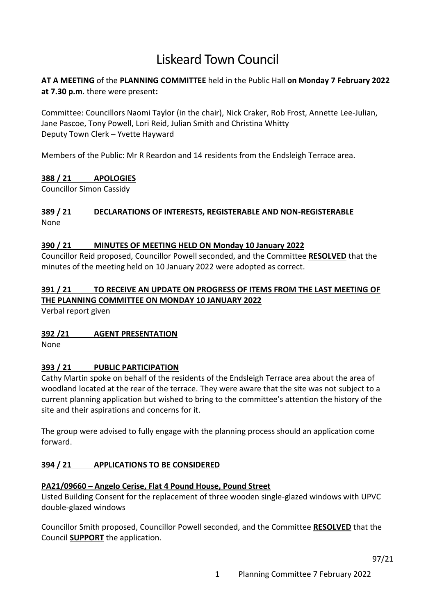## Liskeard Town Council

## **AT A MEETING** of the **PLANNING COMMITTEE** held in the Public Hall **on Monday 7 February 2022 at 7.30 p.m**. there were present**:**

Committee: Councillors Naomi Taylor (in the chair), Nick Craker, Rob Frost, Annette Lee-Julian, Jane Pascoe, Tony Powell, Lori Reid, Julian Smith and Christina Whitty Deputy Town Clerk – Yvette Hayward

Members of the Public: Mr R Reardon and 14 residents from the Endsleigh Terrace area.

## **388 / 21 APOLOGIES**

Councillor Simon Cassidy

#### **389 / 21 DECLARATIONS OF INTERESTS, REGISTERABLE AND NON-REGISTERABLE** None

#### **390 / 21 MINUTES OF MEETING HELD ON Monday 10 January 2022**

Councillor Reid proposed, Councillor Powell seconded, and the Committee **RESOLVED** that the minutes of the meeting held on 10 January 2022 were adopted as correct.

## **391 / 21 TO RECEIVE AN UPDATE ON PROGRESS OF ITEMS FROM THE LAST MEETING OF THE PLANNING COMMITTEE ON MONDAY 10 JANUARY 2022**

Verbal report given

#### **392 /21 AGENT PRESENTATION**

None

#### **393 / 21 PUBLIC PARTICIPATION**

Cathy Martin spoke on behalf of the residents of the Endsleigh Terrace area about the area of woodland located at the rear of the terrace. They were aware that the site was not subject to a current planning application but wished to bring to the committee's attention the history of the site and their aspirations and concerns for it.

The group were advised to fully engage with the planning process should an application come forward.

#### **394 / 21 APPLICATIONS TO BE CONSIDERED**

#### **PA21/09660 – Angelo Cerise, Flat 4 Pound House, Pound Street**

Listed Building Consent for the replacement of three wooden single-glazed windows with UPVC double-glazed windows

Councillor Smith proposed, Councillor Powell seconded, and the Committee **RESOLVED** that the Council **SUPPORT** the application.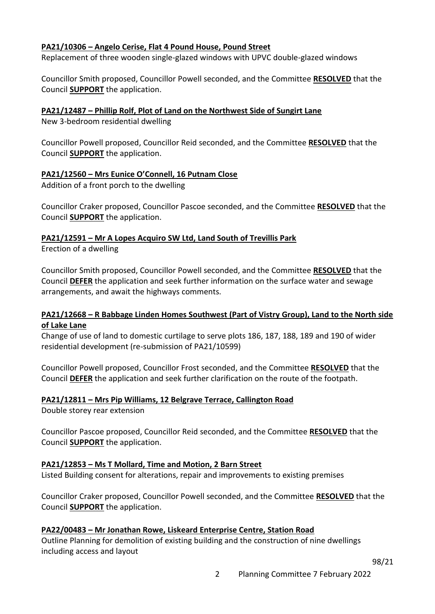#### **PA21/10306 – Angelo Cerise, Flat 4 Pound House, Pound Street**

Replacement of three wooden single-glazed windows with UPVC double-glazed windows

Councillor Smith proposed, Councillor Powell seconded, and the Committee **RESOLVED** that the Council **SUPPORT** the application.

#### **PA21/12487 – Phillip Rolf, Plot of Land on the Northwest Side of Sungirt Lane**

New 3-bedroom residential dwelling

Councillor Powell proposed, Councillor Reid seconded, and the Committee **RESOLVED** that the Council **SUPPORT** the application.

## **PA21/12560 – Mrs Eunice O'Connell, 16 Putnam Close**

Addition of a front porch to the dwelling

Councillor Craker proposed, Councillor Pascoe seconded, and the Committee **RESOLVED** that the Council **SUPPORT** the application.

# **PA21/12591 – Mr A Lopes Acquiro SW Ltd, Land South of Trevillis Park**

Erection of a dwelling

Councillor Smith proposed, Councillor Powell seconded, and the Committee **RESOLVED** that the Council **DEFER** the application and seek further information on the surface water and sewage arrangements, and await the highways comments.

#### **PA21/12668 – R Babbage Linden Homes Southwest (Part of Vistry Group), Land to the North side of Lake Lane**

Change of use of land to domestic curtilage to serve plots 186, 187, 188, 189 and 190 of wider residential development (re-submission of PA21/10599)

Councillor Powell proposed, Councillor Frost seconded, and the Committee **RESOLVED** that the Council **DEFER** the application and seek further clarification on the route of the footpath.

#### **PA21/12811 – Mrs Pip Williams, 12 Belgrave Terrace, Callington Road**

Double storey rear extension

Councillor Pascoe proposed, Councillor Reid seconded, and the Committee **RESOLVED** that the Council **SUPPORT** the application.

#### **PA21/12853 – Ms T Mollard, Time and Motion, 2 Barn Street**

Listed Building consent for alterations, repair and improvements to existing premises

Councillor Craker proposed, Councillor Powell seconded, and the Committee **RESOLVED** that the Council **SUPPORT** the application.

#### **PA22/00483 – Mr Jonathan Rowe, Liskeard Enterprise Centre, Station Road**

Outline Planning for demolition of existing building and the construction of nine dwellings including access and layout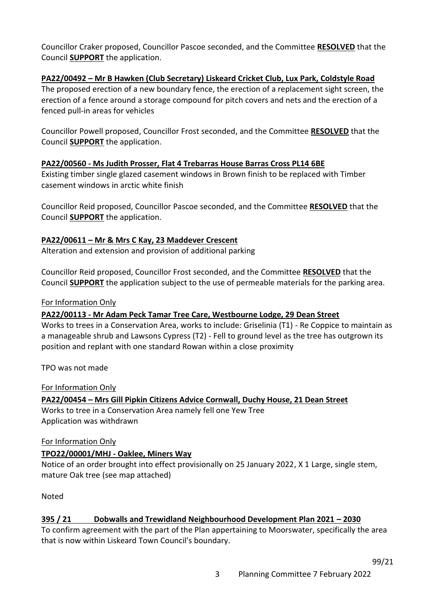Councillor Craker proposed, Councillor Pascoe seconded, and the Committee **RESOLVED** that the Council **SUPPORT** the application.

#### **PA22/00492 – Mr B Hawken (Club Secretary) Liskeard Cricket Club, Lux Park, Coldstyle Road**

The proposed erection of a new boundary fence, the erection of a replacement sight screen, the erection of a fence around a storage compound for pitch covers and nets and the erection of a fenced pull-in areas for vehicles

Councillor Powell proposed, Councillor Frost seconded, and the Committee **RESOLVED** that the Council **SUPPORT** the application.

#### **PA22/00560 - Ms Judith Prosser, Flat 4 Trebarras House Barras Cross PL14 6BE**

Existing timber single glazed casement windows in Brown finish to be replaced with Timber casement windows in arctic white finish

Councillor Reid proposed, Councillor Pascoe seconded, and the Committee **RESOLVED** that the Council **SUPPORT** the application.

#### **PA22/00611 – Mr & Mrs C Kay, 23 Maddever Crescent**

Alteration and extension and provision of additional parking

Councillor Reid proposed, Councillor Frost seconded, and the Committee **RESOLVED** that the Council **SUPPORT** the application subject to the use of permeable materials for the parking area.

#### For Information Only

**PA22/00113 - Mr Adam Peck Tamar Tree Care, Westbourne Lodge, 29 Dean Street**

Works to trees in a Conservation Area, works to include: Griselinia (T1) - Re Coppice to maintain as a manageable shrub and Lawsons Cypress (T2) - Fell to ground level as the tree has outgrown its position and replant with one standard Rowan within a close proximity

TPO was not made

#### For Information Only

**PA22/00454 – Mrs Gill Pipkin Citizens Advice Cornwall, Duchy House, 21 Dean Street** Works to tree in a Conservation Area namely fell one Yew Tree Application was withdrawn

#### For Information Only

#### **TPO22/00001/MHJ - Oaklee, Miners Way**

Notice of an order brought into effect provisionally on 25 January 2022, X 1 Large, single stem, mature Oak tree (see map attached)

Noted

#### **395 / 21 Dobwalls and Trewidland Neighbourhood Development Plan 2021 – 2030**

To confirm agreement with the part of the Plan appertaining to Moorswater, specifically the area that is now within Liskeard Town Council's boundary.